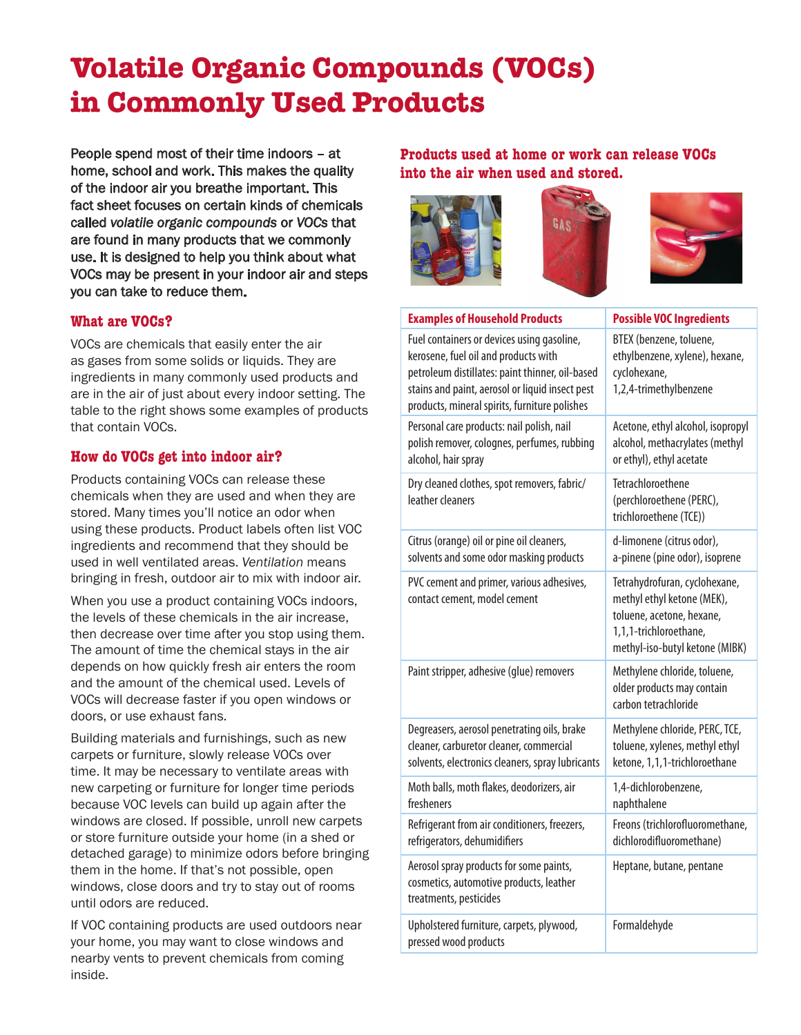# **Volatile Organic Compounds (VOCs) in Commonly Used Products**

People spend most of their time indoors – at home, school and work. This makes the quality of the indoor air you breathe important. This fact sheet focuses on certain kinds of chemicals called *volatile organic compounds* or *VOCs* that are found in many products that we commonly use. It is designed to help you think about what VOCs may be present in your indoor air and steps you can take to reduce them.

#### **What are VOCs?**

VOCs are chemicals that easily enter the air as gases from some solids or liquids. They are ingredients in many commonly used products and are in the air of just about every indoor setting. The table to the right shows some examples of products that contain VOCs.

# **How do VOCs get into indoor air?**

Products containing VOCs can release these chemicals when they are used and when they are stored. Many times you'll notice an odor when using these products. Product labels often list VOC ingredients and recommend that they should be used in well ventilated areas. *Ventilation* means bringing in fresh, outdoor air to mix with indoor air.

When you use a product containing VOCs indoors, the levels of these chemicals in the air increase, then decrease over time after you stop using them. The amount of time the chemical stays in the air depends on how quickly fresh air enters the room and the amount of the chemical used. Levels of VOCs will decrease faster if you open windows or doors, or use exhaust fans.

Building materials and furnishings, such as new carpets or furniture, slowly release VOCs over time. It may be necessary to ventilate areas with new carpeting or furniture for longer time periods because VOC levels can build up again after the windows are closed. If possible, unroll new carpets or store furniture outside your home (in a shed or detached garage) to minimize odors before bringing them in the home. If that's not possible, open windows, close doors and try to stay out of rooms until odors are reduced.

If VOC containing products are used outdoors near your home, you may want to close windows and nearby vents to prevent chemicals from coming inside.

# **Products used at home or work can release VOCs into the air when used and stored.**







| <b>Examples of Household Products</b>                                                                                                                                                                                                     | <b>Possible VOC Ingredients</b>                                                                                                                      |
|-------------------------------------------------------------------------------------------------------------------------------------------------------------------------------------------------------------------------------------------|------------------------------------------------------------------------------------------------------------------------------------------------------|
| Fuel containers or devices using gasoline,<br>kerosene, fuel oil and products with<br>petroleum distillates: paint thinner, oil-based<br>stains and paint, aerosol or liquid insect pest<br>products, mineral spirits, furniture polishes | BTEX (benzene, toluene,<br>ethylbenzene, xylene), hexane,<br>cyclohexane,<br>1,2,4-trimethylbenzene                                                  |
| Personal care products: nail polish, nail<br>polish remover, colognes, perfumes, rubbing<br>alcohol, hair spray                                                                                                                           | Acetone, ethyl alcohol, isopropyl<br>alcohol, methacrylates (methyl<br>or ethyl), ethyl acetate                                                      |
| Dry cleaned clothes, spot removers, fabric/<br>leather cleaners                                                                                                                                                                           | Tetrachloroethene<br>(perchloroethene (PERC),<br>trichloroethene (TCE))                                                                              |
| Citrus (orange) oil or pine oil cleaners,<br>solvents and some odor masking products                                                                                                                                                      | d-limonene (citrus odor),<br>a-pinene (pine odor), isoprene                                                                                          |
| PVC cement and primer, various adhesives,<br>contact cement, model cement                                                                                                                                                                 | Tetrahydrofuran, cyclohexane,<br>methyl ethyl ketone (MEK),<br>toluene, acetone, hexane,<br>1,1,1-trichloroethane,<br>methyl-iso-butyl ketone (MIBK) |
| Paint stripper, adhesive (glue) removers                                                                                                                                                                                                  | Methylene chloride, toluene,<br>older products may contain<br>carbon tetrachloride                                                                   |
| Degreasers, aerosol penetrating oils, brake<br>cleaner, carburetor cleaner, commercial<br>solvents, electronics cleaners, spray lubricants                                                                                                | Methylene chloride, PERC, TCE,<br>toluene, xylenes, methyl ethyl<br>ketone, 1,1,1-trichloroethane                                                    |
| Moth balls, moth flakes, deodorizers, air<br>fresheners                                                                                                                                                                                   | 1,4-dichlorobenzene,<br>naphthalene                                                                                                                  |
| Refrigerant from air conditioners, freezers,<br>refrigerators, dehumidifiers                                                                                                                                                              | Freons (trichlorofluoromethane,<br>dichlorodifluoromethane)                                                                                          |
| Aerosol spray products for some paints,<br>cosmetics, automotive products, leather<br>treatments, pesticides                                                                                                                              | Heptane, butane, pentane                                                                                                                             |
| Upholstered furniture, carpets, plywood,<br>pressed wood products                                                                                                                                                                         | Formaldehyde                                                                                                                                         |